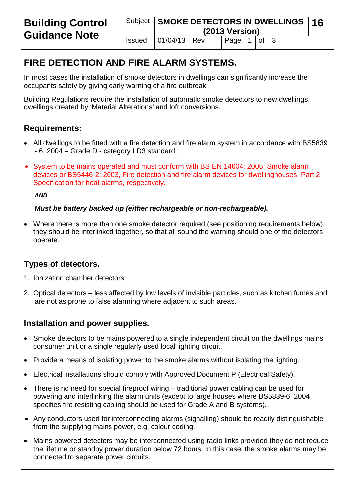# **FIRE DETECTION AND FIRE ALARM SYSTEMS.**

In most cases the installation of smoke detectors in dwellings can significantly increase the occupants safety by giving early warning of a fire outbreak.

Building Regulations require the installation of automatic smoke detectors to new dwellings, dwellings created by 'Material Alterations' and loft conversions.

# **Requirements:**

- All dwellings to be fitted with a fire detection and fire alarm system in accordance with BS5839 - 6: 2004 – Grade D - category LD3 standard.
- System to be mains operated and must conform with BS EN 14604: 2005, Smoke alarm devices or BS5446-2: 2003, Fire detection and fire alarm devices for dwellinghouses, Part 2 Specification for heat alarms, respectively.

*AND* 

#### *Must be battery backed up (either rechargeable or non-rechargeable).*

• Where there is more than one smoke detector required (see positioning requirements below), they should be interlinked together, so that all sound the warning should one of the detectors operate.

## **Types of detectors.**

- 1. Ionization chamber detectors
- 2. Optical detectors less affected by low levels of invisible particles, such as kitchen fumes and are not as prone to false alarming where adjacent to such areas.

## **Installation and power supplies.**

- Smoke detectors to be mains powered to a single independent circuit on the dwellings mains consumer unit or a single regularly used local lighting circuit.
- Provide a means of isolating power to the smoke alarms without isolating the lighting.
- Electrical installations should comply with Approved Document P (Electrical Safety).
- There is no need for special fireproof wiring traditional power cabling can be used for powering and interlinking the alarm units (except to large houses where BS5839-6: 2004 specifies fire resisting cabling should be used for Grade A and B systems).
- Any conductors used for interconnecting alarms (signalling) should be readily distinguishable from the supplying mains power, e.g. colour coding.
- Mains powered detectors may be interconnected using radio links provided they do not reduce the lifetime or standby power duration below 72 hours. In this case, the smoke alarms may be connected to separate power circuits.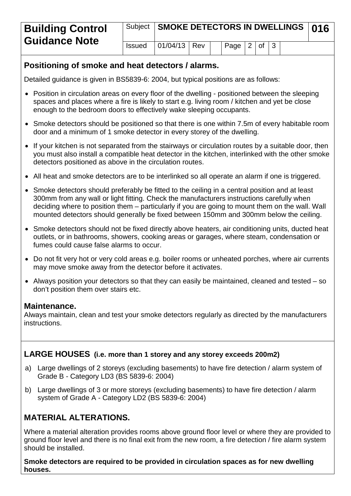| <b>Building Control</b><br><b>Guidance Note</b> |               | Subject   SMOKE DETECTORS IN DWELLINGS   016 |  |  |                         |  |  |  |  |
|-------------------------------------------------|---------------|----------------------------------------------|--|--|-------------------------|--|--|--|--|
|                                                 | <b>Issued</b> | $ 01/04/13 $ Rev                             |  |  | $ $ Page $ 2 $ of $ 3 $ |  |  |  |  |

#### **Positioning of smoke and heat detectors / alarms.**

Detailed guidance is given in BS5839-6: 2004, but typical positions are as follows:

- Position in circulation areas on every floor of the dwelling positioned between the sleeping spaces and places where a fire is likely to start e.g. living room / kitchen and yet be close enough to the bedroom doors to effectively wake sleeping occupants.
- Smoke detectors should be positioned so that there is one within 7.5m of every habitable room door and a minimum of 1 smoke detector in every storey of the dwelling.
- If your kitchen is not separated from the stairways or circulation routes by a suitable door, then you must also install a compatible heat detector in the kitchen, interlinked with the other smoke detectors positioned as above in the circulation routes.
- All heat and smoke detectors are to be interlinked so all operate an alarm if one is triggered.
- Smoke detectors should preferably be fitted to the ceiling in a central position and at least 300mm from any wall or light fitting. Check the manufacturers instructions carefully when deciding where to position them – particularly if you are going to mount them on the wall. Wall mounted detectors should generally be fixed between 150mm and 300mm below the ceiling.
- Smoke detectors should not be fixed directly above heaters, air conditioning units, ducted heat outlets, or in bathrooms, showers, cooking areas or garages, where steam, condensation or fumes could cause false alarms to occur.
- Do not fit very hot or very cold areas e.g. boiler rooms or unheated porches, where air currents may move smoke away from the detector before it activates.
- Always position your detectors so that they can easily be maintained, cleaned and tested so don't position them over stairs etc.

#### **Maintenance.**

Always maintain, clean and test your smoke detectors regularly as directed by the manufacturers instructions.

#### **LARGE HOUSES (i.e. more than 1 storey and any storey exceeds 200m2)**

- a) Large dwellings of 2 storeys (excluding basements) to have fire detection / alarm system of Grade B - Category LD3 (BS 5839-6: 2004)
- b) Large dwellings of 3 or more storeys (excluding basements) to have fire detection / alarm system of Grade A - Category LD2 (BS 5839-6: 2004)

## **MATERIAL ALTERATIONS.**

Where a material alteration provides rooms above ground floor level or where they are provided to ground floor level and there is no final exit from the new room, a fire detection / fire alarm system should be installed.

**Smoke detectors are required to be provided in circulation spaces as for new dwelling houses.**